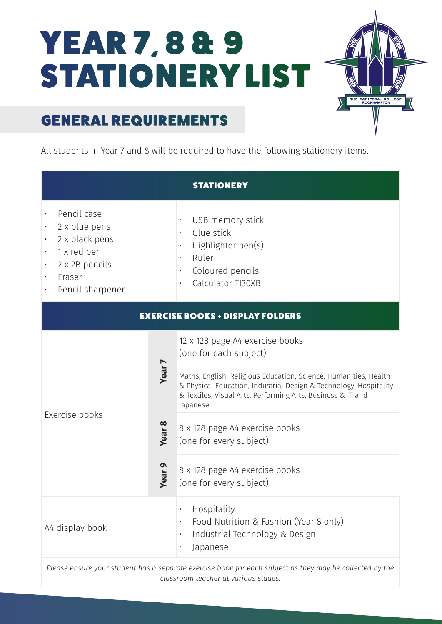# YEAR 7, 8 & 9 STATIONERY LIST



## GENERAL REQUIREMENTS

All students in Year 7 and 8 will be required to have the following stationery items.

| <b>STATIONERY</b>                                                                                                                                |                                                         |                                                                                                                                                                                                                                                                                                                                                                                                         |
|--------------------------------------------------------------------------------------------------------------------------------------------------|---------------------------------------------------------|---------------------------------------------------------------------------------------------------------------------------------------------------------------------------------------------------------------------------------------------------------------------------------------------------------------------------------------------------------------------------------------------------------|
| Pencil case<br>2 x blue pens<br>2 x black pens<br>1 x red pen<br>2 x 2B pencils<br>Eraser<br>Pencil sharpener                                    |                                                         | USB memory stick<br>$\bullet$<br>Glue stick<br>$\bullet$<br>Highlighter pen(s)<br>Ruler<br>Coloured pencils<br>$\bullet$<br>Calculator TI30XB                                                                                                                                                                                                                                                           |
| <b>EXERCISE BOOKS + DISPLAY FOLDERS</b>                                                                                                          |                                                         |                                                                                                                                                                                                                                                                                                                                                                                                         |
| Exercise books                                                                                                                                   | Year <sub>7</sub><br><b>Year 8</b><br>Year <sub>9</sub> | 12 x 128 page A4 exercise books<br>(one for each subject)<br>Maths, English, Religious Education, Science, Humanities, Health<br>& Physical Education, Industrial Design & Technology, Hospitality<br>& Textiles, Visual Arts, Performing Arts, Business & IT and<br>Japanese<br>8 x 128 page A4 exercise books<br>(one for every subject)<br>8 x 128 page A4 exercise books<br>(one for every subject) |
| A4 display book                                                                                                                                  |                                                         | Hospitality<br>$\bullet$<br>Food Nutrition & Fashion (Year 8 only)<br>Industrial Technology & Design<br>Japanese                                                                                                                                                                                                                                                                                        |
| Please ensure your student has a separate exercise book for each subject as they may be collected by the<br>classroom teacher at various stages. |                                                         |                                                                                                                                                                                                                                                                                                                                                                                                         |